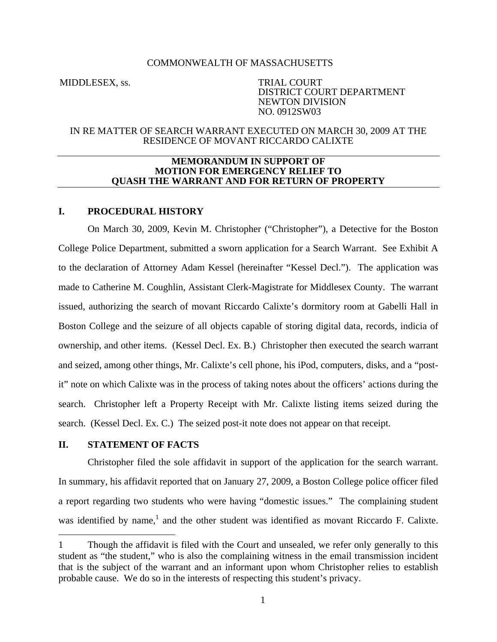### COMMONWEALTH OF MASSACHUSETTS

MIDDLESEX, ss. TRIAL COURT DISTRICT COURT DEPARTMENT NEWTON DIVISION NO. 0912SW03

### IN RE MATTER OF SEARCH WARRANT EXECUTED ON MARCH 30, 2009 AT THE RESIDENCE OF MOVANT RICCARDO CALIXTE

### **MEMORANDUM IN SUPPORT OF MOTION FOR EMERGENCY RELIEF TO QUASH THE WARRANT AND FOR RETURN OF PROPERTY**

# **I. PROCEDURAL HISTORY**

On March 30, 2009, Kevin M. Christopher ("Christopher"), a Detective for the Boston College Police Department, submitted a sworn application for a Search Warrant. See Exhibit A to the declaration of Attorney Adam Kessel (hereinafter "Kessel Decl."). The application was made to Catherine M. Coughlin, Assistant Clerk-Magistrate for Middlesex County. The warrant issued, authorizing the search of movant Riccardo Calixte's dormitory room at Gabelli Hall in Boston College and the seizure of all objects capable of storing digital data, records, indicia of ownership, and other items. (Kessel Decl. Ex. B.) Christopher then executed the search warrant and seized, among other things, Mr. Calixte's cell phone, his iPod, computers, disks, and a "postit" note on which Calixte was in the process of taking notes about the officers' actions during the search. Christopher left a Property Receipt with Mr. Calixte listing items seized during the search. (Kessel Decl. Ex. C.) The seized post-it note does not appear on that receipt.

# **II. STATEMENT OF FACTS**

 $\overline{a}$ 

Christopher filed the sole affidavit in support of the application for the search warrant. In summary, his affidavit reported that on January 27, 2009, a Boston College police officer filed a report regarding two students who were having "domestic issues." The complaining student was identified by name,<sup>1</sup> and the other student was identified as movant Riccardo F. Calixte.

<sup>1</sup> Though the affidavit is filed with the Court and unsealed, we refer only generally to this student as "the student," who is also the complaining witness in the email transmission incident that is the subject of the warrant and an informant upon whom Christopher relies to establish probable cause. We do so in the interests of respecting this student's privacy.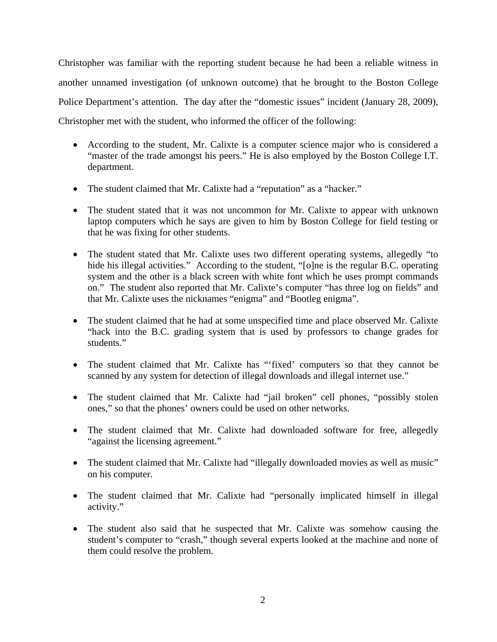Christopher was familiar with the reporting student because he had been a reliable witness in another unnamed investigation (of unknown outcome) that he brought to the Boston College Police Department's attention. The day after the "domestic issues" incident (January 28, 2009), Christopher met with the student, who informed the officer of the following:

- According to the student, Mr. Calixte is a computer science major who is considered a "master of the trade amongst his peers." He is also employed by the Boston College I.T. department.
- The student claimed that Mr. Calixte had a "reputation" as a "hacker."
- The student stated that it was not uncommon for Mr. Calixte to appear with unknown laptop computers which he says are given to him by Boston College for field testing or that he was fixing for other students.
- The student stated that Mr. Calixte uses two different operating systems, allegedly "to hide his illegal activities." According to the student, "[o]ne is the regular B.C. operating system and the other is a black screen with white font which he uses prompt commands on." The student also reported that Mr. Calixte's computer "has three log on fields" and that Mr. Calixte uses the nicknames "enigma" and "Bootleg enigma".
- The student claimed that he had at some unspecified time and place observed Mr. Calixte "hack into the B.C. grading system that is used by professors to change grades for students."
- The student claimed that Mr. Calixte has "'fixed' computers so that they cannot be scanned by any system for detection of illegal downloads and illegal internet use."
- The student claimed that Mr. Calixte had "jail broken" cell phones, "possibly stolen ones," so that the phones' owners could be used on other networks.
- The student claimed that Mr. Calixte had downloaded software for free, allegedly "against the licensing agreement."
- The student claimed that Mr. Calixte had "illegally downloaded movies as well as music" on his computer.
- The student claimed that Mr. Calixte had "personally implicated himself in illegal activity."
- The student also said that he suspected that Mr. Calixte was somehow causing the student's computer to "crash," though several experts looked at the machine and none of them could resolve the problem.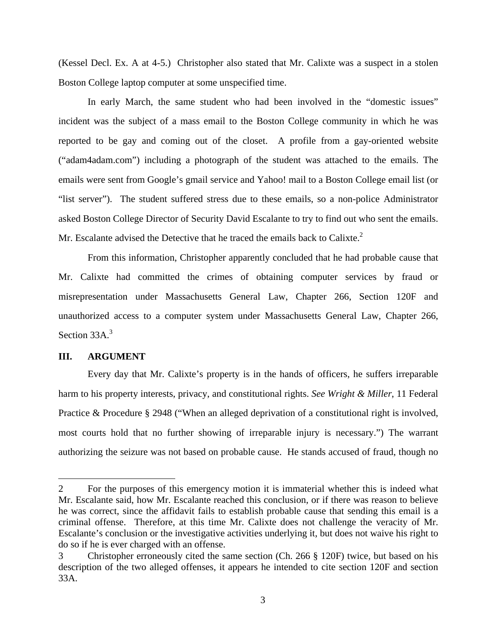(Kessel Decl. Ex. A at 4-5.) Christopher also stated that Mr. Calixte was a suspect in a stolen Boston College laptop computer at some unspecified time.

In early March, the same student who had been involved in the "domestic issues" incident was the subject of a mass email to the Boston College community in which he was reported to be gay and coming out of the closet. A profile from a gay-oriented website ("adam4adam.com") including a photograph of the student was attached to the emails. The emails were sent from Google's gmail service and Yahoo! mail to a Boston College email list (or "list server"). The student suffered stress due to these emails, so a non-police Administrator asked Boston College Director of Security David Escalante to try to find out who sent the emails. Mr. Escalante advised the Detective that he traced the emails back to Calixte.<sup>2</sup>

From this information, Christopher apparently concluded that he had probable cause that Mr. Calixte had committed the crimes of obtaining computer services by fraud or misrepresentation under Massachusetts General Law, Chapter 266, Section 120F and unauthorized access to a computer system under Massachusetts General Law, Chapter 266, Section  $33A.<sup>3</sup>$ 

# **III. ARGUMENT**

1

Every day that Mr. Calixte's property is in the hands of officers, he suffers irreparable harm to his property interests, privacy, and constitutional rights. *See Wright & Miller*, 11 Federal Practice & Procedure § 2948 ("When an alleged deprivation of a constitutional right is involved, most courts hold that no further showing of irreparable injury is necessary.") The warrant authorizing the seizure was not based on probable cause. He stands accused of fraud, though no

<sup>2</sup> For the purposes of this emergency motion it is immaterial whether this is indeed what Mr. Escalante said, how Mr. Escalante reached this conclusion, or if there was reason to believe he was correct, since the affidavit fails to establish probable cause that sending this email is a criminal offense. Therefore, at this time Mr. Calixte does not challenge the veracity of Mr. Escalante's conclusion or the investigative activities underlying it, but does not waive his right to do so if he is ever charged with an offense.

<sup>3</sup> Christopher erroneously cited the same section (Ch. 266 § 120F) twice, but based on his description of the two alleged offenses, it appears he intended to cite section 120F and section 33A.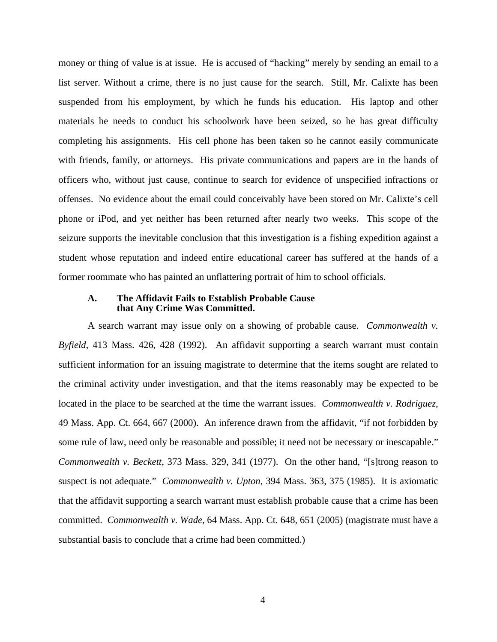money or thing of value is at issue. He is accused of "hacking" merely by sending an email to a list server. Without a crime, there is no just cause for the search. Still, Mr. Calixte has been suspended from his employment, by which he funds his education. His laptop and other materials he needs to conduct his schoolwork have been seized, so he has great difficulty completing his assignments. His cell phone has been taken so he cannot easily communicate with friends, family, or attorneys. His private communications and papers are in the hands of officers who, without just cause, continue to search for evidence of unspecified infractions or offenses. No evidence about the email could conceivably have been stored on Mr. Calixte's cell phone or iPod, and yet neither has been returned after nearly two weeks. This scope of the seizure supports the inevitable conclusion that this investigation is a fishing expedition against a student whose reputation and indeed entire educational career has suffered at the hands of a former roommate who has painted an unflattering portrait of him to school officials.

## **A. The Affidavit Fails to Establish Probable Cause that Any Crime Was Committed.**

A search warrant may issue only on a showing of probable cause. *Commonwealth v. Byfield*, 413 Mass. 426, 428 (1992). An affidavit supporting a search warrant must contain sufficient information for an issuing magistrate to determine that the items sought are related to the criminal activity under investigation, and that the items reasonably may be expected to be located in the place to be searched at the time the warrant issues. *Commonwealth v. Rodriguez*, 49 Mass. App. Ct. 664, 667 (2000). An inference drawn from the affidavit, "if not forbidden by some rule of law, need only be reasonable and possible; it need not be necessary or inescapable." *Commonwealth v. Beckett*, 373 Mass. 329, 341 (1977). On the other hand, "[s]trong reason to suspect is not adequate." *Commonwealth v. Upton*, 394 Mass. 363, 375 (1985). It is axiomatic that the affidavit supporting a search warrant must establish probable cause that a crime has been committed. *Commonwealth v. Wade*, 64 Mass. App. Ct. 648, 651 (2005) (magistrate must have a substantial basis to conclude that a crime had been committed.)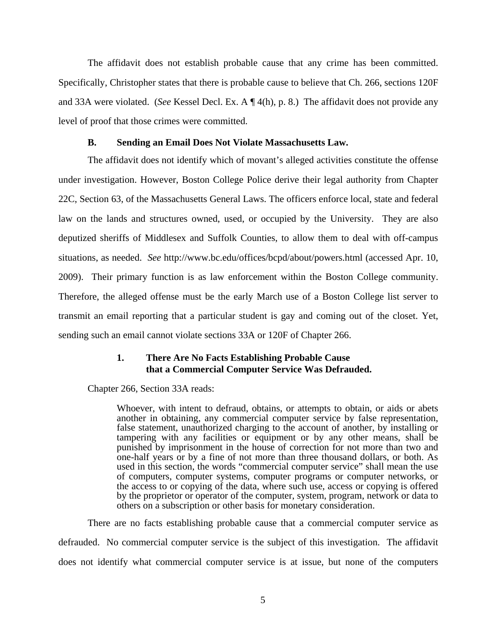The affidavit does not establish probable cause that any crime has been committed. Specifically, Christopher states that there is probable cause to believe that Ch. 266, sections 120F and 33A were violated. (*See* Kessel Decl. Ex. A ¶ 4(h), p. 8.) The affidavit does not provide any level of proof that those crimes were committed.

# **B. Sending an Email Does Not Violate Massachusetts Law.**

The affidavit does not identify which of movant's alleged activities constitute the offense under investigation. However, Boston College Police derive their legal authority from Chapter 22C, Section 63, of the Massachusetts General Laws. The officers enforce local, state and federal law on the lands and structures owned, used, or occupied by the University. They are also deputized sheriffs of Middlesex and Suffolk Counties, to allow them to deal with off-campus situations, as needed. *See* http://www.bc.edu/offices/bcpd/about/powers.html (accessed Apr. 10, 2009). Their primary function is as law enforcement within the Boston College community. Therefore, the alleged offense must be the early March use of a Boston College list server to transmit an email reporting that a particular student is gay and coming out of the closet. Yet, sending such an email cannot violate sections 33A or 120F of Chapter 266.

# **1. There Are No Facts Establishing Probable Cause that a Commercial Computer Service Was Defrauded.**

Chapter 266, Section 33A reads:

Whoever, with intent to defraud, obtains, or attempts to obtain, or aids or abets another in obtaining, any commercial computer service by false representation, false statement, unauthorized charging to the account of another, by installing or tampering with any facilities or equipment or by any other means, shall be punished by imprisonment in the house of correction for not more than two and one-half years or by a fine of not more than three thousand dollars, or both. As used in this section, the words "commercial computer service" shall mean the use of computers, computer systems, computer programs or computer networks, or the access to or copying of the data, where such use, access or copying is offered by the proprietor or operator of the computer, system, program, network or data to others on a subscription or other basis for monetary consideration.

There are no facts establishing probable cause that a commercial computer service as defrauded. No commercial computer service is the subject of this investigation. The affidavit does not identify what commercial computer service is at issue, but none of the computers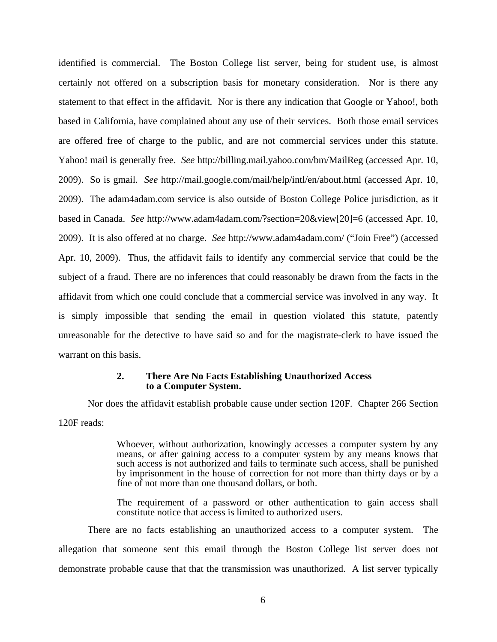identified is commercial. The Boston College list server, being for student use, is almost certainly not offered on a subscription basis for monetary consideration. Nor is there any statement to that effect in the affidavit. Nor is there any indication that Google or Yahoo!, both based in California, have complained about any use of their services. Both those email services are offered free of charge to the public, and are not commercial services under this statute. Yahoo! mail is generally free. *See* http://billing.mail.yahoo.com/bm/MailReg (accessed Apr. 10, 2009). So is gmail. *See* http://mail.google.com/mail/help/intl/en/about.html (accessed Apr. 10, 2009). The adam4adam.com service is also outside of Boston College Police jurisdiction, as it based in Canada. *See* http://www.adam4adam.com/?section=20&view[20]=6 (accessed Apr. 10, 2009). It is also offered at no charge. *See* http://www.adam4adam.com/ ("Join Free") (accessed Apr. 10, 2009). Thus, the affidavit fails to identify any commercial service that could be the subject of a fraud. There are no inferences that could reasonably be drawn from the facts in the affidavit from which one could conclude that a commercial service was involved in any way. It is simply impossible that sending the email in question violated this statute, patently unreasonable for the detective to have said so and for the magistrate-clerk to have issued the warrant on this basis.

### **2. There Are No Facts Establishing Unauthorized Access to a Computer System.**

Nor does the affidavit establish probable cause under section 120F. Chapter 266 Section 120F reads:

> Whoever, without authorization, knowingly accesses a computer system by any means, or after gaining access to a computer system by any means knows that such access is not authorized and fails to terminate such access, shall be punished by imprisonment in the house of correction for not more than thirty days or by a fine of not more than one thousand dollars, or both.

> The requirement of a password or other authentication to gain access shall constitute notice that access is limited to authorized users.

There are no facts establishing an unauthorized access to a computer system. The allegation that someone sent this email through the Boston College list server does not demonstrate probable cause that that the transmission was unauthorized. A list server typically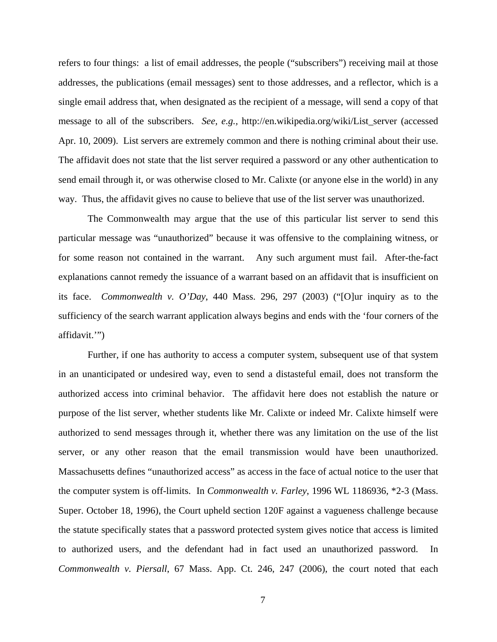refers to four things: a list of email addresses, the people ("subscribers") receiving mail at those addresses, the publications (email messages) sent to those addresses, and a reflector, which is a single email address that, when designated as the recipient of a message, will send a copy of that message to all of the subscribers. *See, e.g.,* http://en.wikipedia.org/wiki/List\_server (accessed Apr. 10, 2009). List servers are extremely common and there is nothing criminal about their use. The affidavit does not state that the list server required a password or any other authentication to send email through it, or was otherwise closed to Mr. Calixte (or anyone else in the world) in any way. Thus, the affidavit gives no cause to believe that use of the list server was unauthorized.

The Commonwealth may argue that the use of this particular list server to send this particular message was "unauthorized" because it was offensive to the complaining witness, or for some reason not contained in the warrant. Any such argument must fail. After-the-fact explanations cannot remedy the issuance of a warrant based on an affidavit that is insufficient on its face. *Commonwealth v. O'Day*, 440 Mass. 296, 297 (2003) ("[O]ur inquiry as to the sufficiency of the search warrant application always begins and ends with the 'four corners of the affidavit.'")

Further, if one has authority to access a computer system, subsequent use of that system in an unanticipated or undesired way, even to send a distasteful email, does not transform the authorized access into criminal behavior. The affidavit here does not establish the nature or purpose of the list server, whether students like Mr. Calixte or indeed Mr. Calixte himself were authorized to send messages through it, whether there was any limitation on the use of the list server, or any other reason that the email transmission would have been unauthorized. Massachusetts defines "unauthorized access" as access in the face of actual notice to the user that the computer system is off-limits. In *Commonwealth v. Farley*, 1996 WL 1186936, \*2-3 (Mass. Super. October 18, 1996), the Court upheld section 120F against a vagueness challenge because the statute specifically states that a password protected system gives notice that access is limited to authorized users, and the defendant had in fact used an unauthorized password. In *Commonwealth v. Piersall*, 67 Mass. App. Ct. 246, 247 (2006), the court noted that each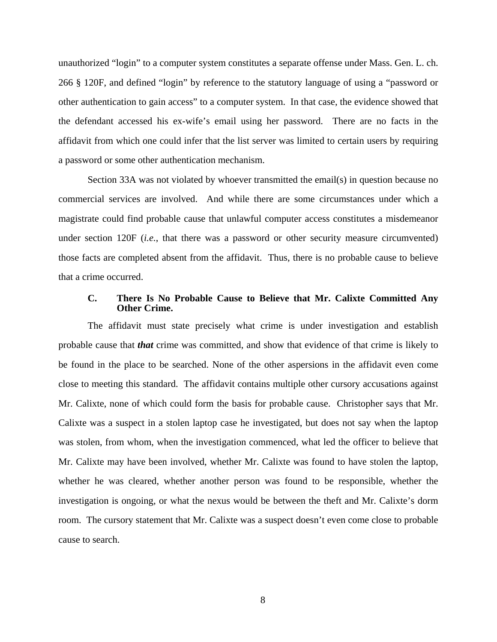unauthorized "login" to a computer system constitutes a separate offense under Mass. Gen. L. ch. 266 § 120F, and defined "login" by reference to the statutory language of using a "password or other authentication to gain access" to a computer system. In that case, the evidence showed that the defendant accessed his ex-wife's email using her password. There are no facts in the affidavit from which one could infer that the list server was limited to certain users by requiring a password or some other authentication mechanism.

Section 33A was not violated by whoever transmitted the email(s) in question because no commercial services are involved. And while there are some circumstances under which a magistrate could find probable cause that unlawful computer access constitutes a misdemeanor under section 120F (*i.e.*, that there was a password or other security measure circumvented) those facts are completed absent from the affidavit. Thus, there is no probable cause to believe that a crime occurred.

### **C. There Is No Probable Cause to Believe that Mr. Calixte Committed Any Other Crime.**

The affidavit must state precisely what crime is under investigation and establish probable cause that *that* crime was committed, and show that evidence of that crime is likely to be found in the place to be searched. None of the other aspersions in the affidavit even come close to meeting this standard. The affidavit contains multiple other cursory accusations against Mr. Calixte, none of which could form the basis for probable cause. Christopher says that Mr. Calixte was a suspect in a stolen laptop case he investigated, but does not say when the laptop was stolen, from whom, when the investigation commenced, what led the officer to believe that Mr. Calixte may have been involved, whether Mr. Calixte was found to have stolen the laptop, whether he was cleared, whether another person was found to be responsible, whether the investigation is ongoing, or what the nexus would be between the theft and Mr. Calixte's dorm room. The cursory statement that Mr. Calixte was a suspect doesn't even come close to probable cause to search.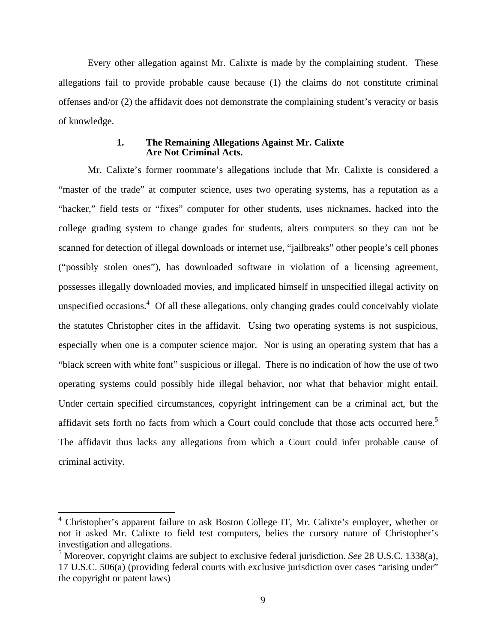Every other allegation against Mr. Calixte is made by the complaining student. These allegations fail to provide probable cause because (1) the claims do not constitute criminal offenses and/or (2) the affidavit does not demonstrate the complaining student's veracity or basis of knowledge.

### **1. The Remaining Allegations Against Mr. Calixte Are Not Criminal Acts.**

Mr. Calixte's former roommate's allegations include that Mr. Calixte is considered a "master of the trade" at computer science, uses two operating systems, has a reputation as a "hacker," field tests or "fixes" computer for other students, uses nicknames, hacked into the college grading system to change grades for students, alters computers so they can not be scanned for detection of illegal downloads or internet use, "jailbreaks" other people's cell phones ("possibly stolen ones"), has downloaded software in violation of a licensing agreement, possesses illegally downloaded movies, and implicated himself in unspecified illegal activity on unspecified occasions.<sup>4</sup> Of all these allegations, only changing grades could conceivably violate the statutes Christopher cites in the affidavit. Using two operating systems is not suspicious, especially when one is a computer science major. Nor is using an operating system that has a "black screen with white font" suspicious or illegal. There is no indication of how the use of two operating systems could possibly hide illegal behavior, nor what that behavior might entail. Under certain specified circumstances, copyright infringement can be a criminal act, but the affidavit sets forth no facts from which a Court could conclude that those acts occurred here.<sup>5</sup> The affidavit thus lacks any allegations from which a Court could infer probable cause of criminal activity.

<u>.</u>

<sup>&</sup>lt;sup>4</sup> Christopher's apparent failure to ask Boston College IT, Mr. Calixte's employer, whether or not it asked Mr. Calixte to field test computers, belies the cursory nature of Christopher's investigation and allegations.

<sup>5</sup> Moreover, copyright claims are subject to exclusive federal jurisdiction. *See* 28 U.S.C. 1338(a), 17 U.S.C. 506(a) (providing federal courts with exclusive jurisdiction over cases "arising under" the copyright or patent laws)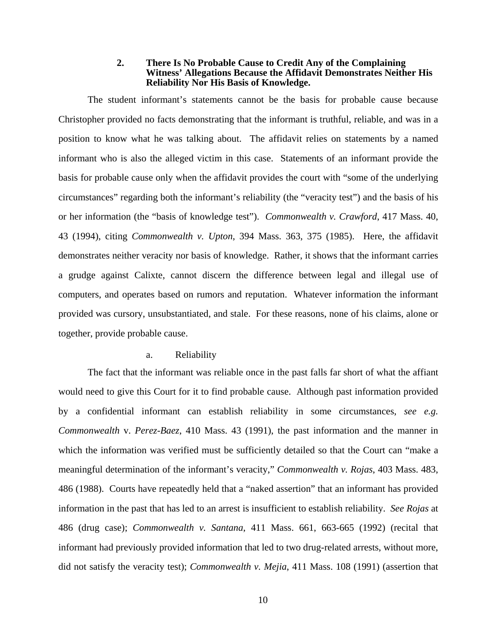### **2. There Is No Probable Cause to Credit Any of the Complaining Witness' Allegations Because the Affidavit Demonstrates Neither His Reliability Nor His Basis of Knowledge.**

The student informant's statements cannot be the basis for probable cause because Christopher provided no facts demonstrating that the informant is truthful, reliable, and was in a position to know what he was talking about. The affidavit relies on statements by a named informant who is also the alleged victim in this case. Statements of an informant provide the basis for probable cause only when the affidavit provides the court with "some of the underlying circumstances" regarding both the informant's reliability (the "veracity test") and the basis of his or her information (the "basis of knowledge test"). *Commonwealth v. Crawford*, 417 Mass. 40, 43 (1994), citing *Commonwealth v. Upton*, 394 Mass. 363, 375 (1985). Here, the affidavit demonstrates neither veracity nor basis of knowledge. Rather, it shows that the informant carries a grudge against Calixte, cannot discern the difference between legal and illegal use of computers, and operates based on rumors and reputation. Whatever information the informant provided was cursory, unsubstantiated, and stale. For these reasons, none of his claims, alone or together, provide probable cause.

#### a. Reliability

The fact that the informant was reliable once in the past falls far short of what the affiant would need to give this Court for it to find probable cause. Although past information provided by a confidential informant can establish reliability in some circumstances, *see e.g. Commonwealth* v. *Perez-Baez*, 410 Mass. 43 (1991), the past information and the manner in which the information was verified must be sufficiently detailed so that the Court can "make a meaningful determination of the informant's veracity," *Commonwealth v. Rojas*, 403 Mass. 483, 486 (1988). Courts have repeatedly held that a "naked assertion" that an informant has provided information in the past that has led to an arrest is insufficient to establish reliability. *See Rojas* at 486 (drug case); *Commonwealth v. Santana*, 411 Mass. 661, 663-665 (1992) (recital that informant had previously provided information that led to two drug-related arrests, without more, did not satisfy the veracity test); *Commonwealth v. Mejia*, 411 Mass. 108 (1991) (assertion that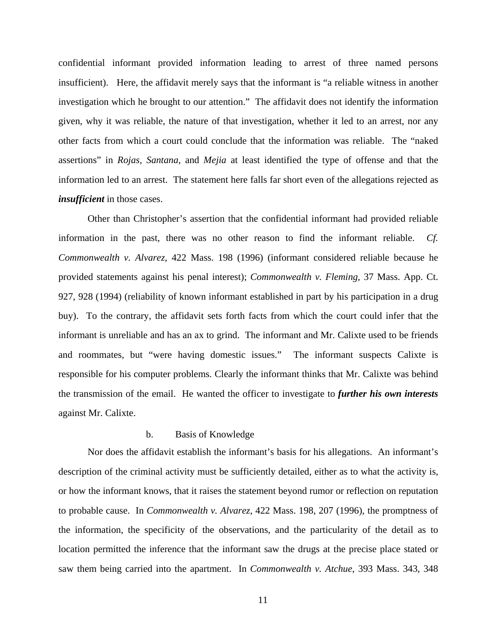confidential informant provided information leading to arrest of three named persons insufficient). Here, the affidavit merely says that the informant is "a reliable witness in another investigation which he brought to our attention." The affidavit does not identify the information given, why it was reliable, the nature of that investigation, whether it led to an arrest, nor any other facts from which a court could conclude that the information was reliable. The "naked assertions" in *Rojas*, *Santana*, and *Mejia* at least identified the type of offense and that the information led to an arrest. The statement here falls far short even of the allegations rejected as *insufficient* in those cases.

Other than Christopher's assertion that the confidential informant had provided reliable information in the past, there was no other reason to find the informant reliable. *Cf. Commonwealth v. Alvarez*, 422 Mass. 198 (1996) (informant considered reliable because he provided statements against his penal interest); *Commonwealth v. Fleming*, 37 Mass. App. Ct. 927, 928 (1994) (reliability of known informant established in part by his participation in a drug buy). To the contrary, the affidavit sets forth facts from which the court could infer that the informant is unreliable and has an ax to grind. The informant and Mr. Calixte used to be friends and roommates, but "were having domestic issues." The informant suspects Calixte is responsible for his computer problems. Clearly the informant thinks that Mr. Calixte was behind the transmission of the email. He wanted the officer to investigate to *further his own interests*  against Mr. Calixte.

### b. Basis of Knowledge

Nor does the affidavit establish the informant's basis for his allegations. An informant's description of the criminal activity must be sufficiently detailed, either as to what the activity is, or how the informant knows, that it raises the statement beyond rumor or reflection on reputation to probable cause. In *Commonwealth v. Alvarez*, 422 Mass. 198, 207 (1996), the promptness of the information, the specificity of the observations, and the particularity of the detail as to location permitted the inference that the informant saw the drugs at the precise place stated or saw them being carried into the apartment. In *Commonwealth v. Atchue*, 393 Mass. 343, 348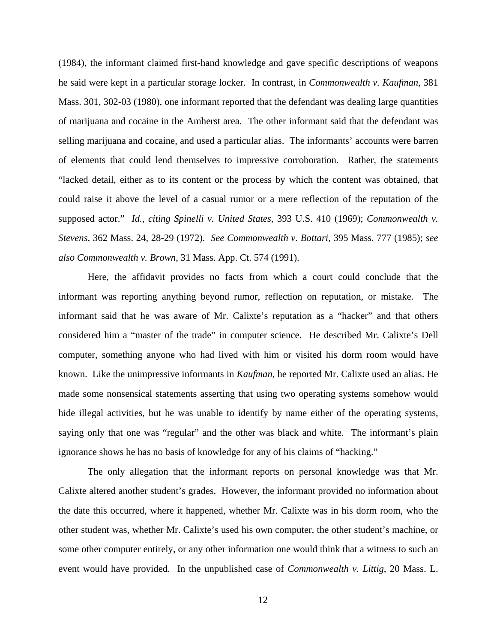(1984), the informant claimed first-hand knowledge and gave specific descriptions of weapons he said were kept in a particular storage locker. In contrast, in *Commonwealth v. Kaufman*, 381 Mass. 301, 302-03 (1980), one informant reported that the defendant was dealing large quantities of marijuana and cocaine in the Amherst area. The other informant said that the defendant was selling marijuana and cocaine, and used a particular alias. The informants' accounts were barren of elements that could lend themselves to impressive corroboration. Rather, the statements "lacked detail, either as to its content or the process by which the content was obtained, that could raise it above the level of a casual rumor or a mere reflection of the reputation of the supposed actor." *Id., citing Spinelli v. United States*, 393 U.S. 410 (1969); *Commonwealth v. Stevens*, 362 Mass. 24, 28-29 (1972). *See Commonwealth v. Bottari*, 395 Mass. 777 (1985); *see also Commonwealth v. Brown*, 31 Mass. App. Ct. 574 (1991).

Here, the affidavit provides no facts from which a court could conclude that the informant was reporting anything beyond rumor, reflection on reputation, or mistake. The informant said that he was aware of Mr. Calixte's reputation as a "hacker" and that others considered him a "master of the trade" in computer science. He described Mr. Calixte's Dell computer, something anyone who had lived with him or visited his dorm room would have known. Like the unimpressive informants in *Kaufman,* he reported Mr. Calixte used an alias. He made some nonsensical statements asserting that using two operating systems somehow would hide illegal activities, but he was unable to identify by name either of the operating systems, saying only that one was "regular" and the other was black and white. The informant's plain ignorance shows he has no basis of knowledge for any of his claims of "hacking."

The only allegation that the informant reports on personal knowledge was that Mr. Calixte altered another student's grades. However, the informant provided no information about the date this occurred, where it happened, whether Mr. Calixte was in his dorm room, who the other student was, whether Mr. Calixte's used his own computer, the other student's machine, or some other computer entirely, or any other information one would think that a witness to such an event would have provided. In the unpublished case of *Commonwealth v. Littig*, 20 Mass. L.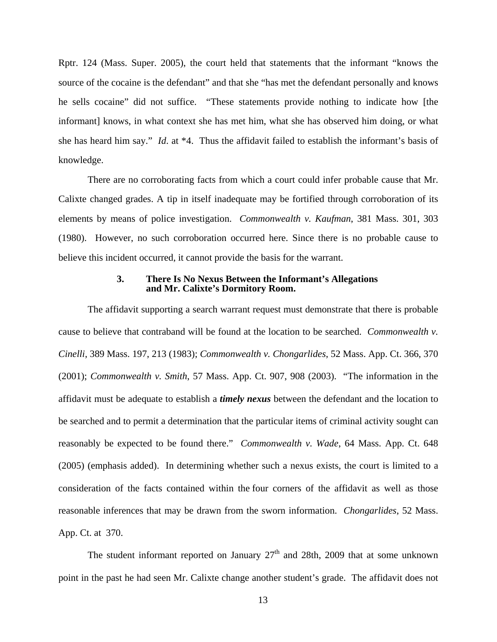Rptr. 124 (Mass. Super. 2005), the court held that statements that the informant "knows the source of the cocaine is the defendant" and that she "has met the defendant personally and knows he sells cocaine" did not suffice. "These statements provide nothing to indicate how [the informant] knows, in what context she has met him, what she has observed him doing, or what she has heard him say." *Id*. at \*4. Thus the affidavit failed to establish the informant's basis of knowledge.

There are no corroborating facts from which a court could infer probable cause that Mr. Calixte changed grades. A tip in itself inadequate may be fortified through corroboration of its elements by means of police investigation. *Commonwealth v. Kaufman*, 381 Mass. 301, 303 (1980). However, no such corroboration occurred here. Since there is no probable cause to believe this incident occurred, it cannot provide the basis for the warrant.

### **3. There Is No Nexus Between the Informant's Allegations and Mr. Calixte's Dormitory Room.**

 The affidavit supporting a search warrant request must demonstrate that there is probable cause to believe that contraband will be found at the location to be searched. *Commonwealth v. Cinelli*, 389 Mass. 197, 213 (1983); *Commonwealth v. Chongarlides*, 52 Mass. App. Ct. 366, 370 (2001); *Commonwealth v. Smith*, 57 Mass. App. Ct. 907, 908 (2003). "The information in the affidavit must be adequate to establish a *timely nexus* between the defendant and the location to be searched and to permit a determination that the particular items of criminal activity sought can reasonably be expected to be found there." *Commonwealth v. Wade*, 64 Mass. App. Ct. 648 (2005) (emphasis added). In determining whether such a nexus exists, the court is limited to a consideration of the facts contained within the four corners of the affidavit as well as those reasonable inferences that may be drawn from the sworn information. *Chongarlides*, 52 Mass. App. Ct. at 370.

The student informant reported on January  $27<sup>th</sup>$  and 28th, 2009 that at some unknown point in the past he had seen Mr. Calixte change another student's grade. The affidavit does not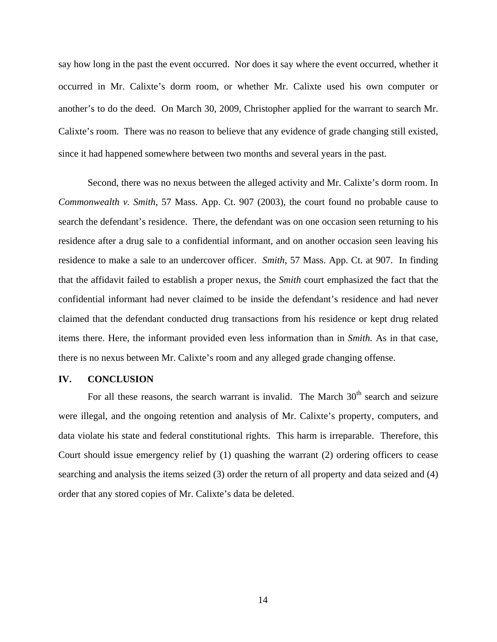say how long in the past the event occurred. Nor does it say where the event occurred, whether it occurred in Mr. Calixte's dorm room, or whether Mr. Calixte used his own computer or another's to do the deed. On March 30, 2009, Christopher applied for the warrant to search Mr. Calixte's room. There was no reason to believe that any evidence of grade changing still existed, since it had happened somewhere between two months and several years in the past.

Second, there was no nexus between the alleged activity and Mr. Calixte's dorm room. In *Commonwealth v. Smith*, 57 Mass. App. Ct. 907 (2003), the court found no probable cause to search the defendant's residence. There, the defendant was on one occasion seen returning to his residence after a drug sale to a confidential informant, and on another occasion seen leaving his residence to make a sale to an undercover officer. *Smith*, 57 Mass. App. Ct. at 907. In finding that the affidavit failed to establish a proper nexus, the *Smith* court emphasized the fact that the confidential informant had never claimed to be inside the defendant's residence and had never claimed that the defendant conducted drug transactions from his residence or kept drug related items there. Here, the informant provided even less information than in *Smith.* As in that case, there is no nexus between Mr. Calixte's room and any alleged grade changing offense.

# **IV. CONCLUSION**

For all these reasons, the search warrant is invalid. The March  $30<sup>th</sup>$  search and seizure were illegal, and the ongoing retention and analysis of Mr. Calixte's property, computers, and data violate his state and federal constitutional rights. This harm is irreparable. Therefore, this Court should issue emergency relief by (1) quashing the warrant (2) ordering officers to cease searching and analysis the items seized (3) order the return of all property and data seized and (4) order that any stored copies of Mr. Calixte's data be deleted.